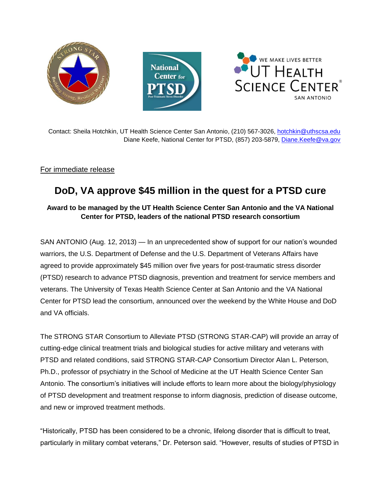

Contact: Sheila Hotchkin, UT Health Science Center San Antonio, (210) 567-3026, [hotchkin@uthscsa.edu](mailto:hotchkin@uthscsa.edu) Diane Keefe, National Center for PTSD, (857) 203-5879, [Diane.Keefe@va.gov](mailto:Diane.Keefe@va.gov)

## For immediate release

## **DoD, VA approve \$45 million in the quest for a PTSD cure**

## **Award to be managed by the UT Health Science Center San Antonio and the VA National Center for PTSD, leaders of the national PTSD research consortium**

SAN ANTONIO (Aug. 12, 2013) — In an unprecedented show of support for our nation's wounded warriors, the U.S. Department of Defense and the U.S. Department of Veterans Affairs have agreed to provide approximately \$45 million over five years for post-traumatic stress disorder (PTSD) research to advance PTSD diagnosis, prevention and treatment for service members and veterans. The University of Texas Health Science Center at San Antonio and the VA National Center for PTSD lead the consortium, announced over the weekend by the White House and DoD and VA officials.

The STRONG STAR Consortium to Alleviate PTSD (STRONG STAR-CAP) will provide an array of cutting-edge clinical treatment trials and biological studies for active military and veterans with PTSD and related conditions, said STRONG STAR-CAP Consortium Director Alan L. Peterson, Ph.D., professor of psychiatry in the School of Medicine at the UT Health Science Center San Antonio. The consortium's initiatives will include efforts to learn more about the biology/physiology of PTSD development and treatment response to inform diagnosis, prediction of disease outcome, and new or improved treatment methods.

"Historically, PTSD has been considered to be a chronic, lifelong disorder that is difficult to treat, particularly in military combat veterans," Dr. Peterson said. "However, results of studies of PTSD in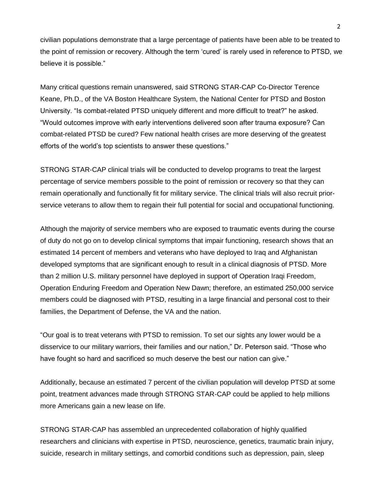civilian populations demonstrate that a large percentage of patients have been able to be treated to the point of remission or recovery. Although the term 'cured' is rarely used in reference to PTSD, we believe it is possible."

Many critical questions remain unanswered, said STRONG STAR-CAP Co-Director Terence Keane, Ph.D., of the VA Boston Healthcare System, the National Center for PTSD and Boston University. "Is combat-related PTSD uniquely different and more difficult to treat?" he asked. "Would outcomes improve with early interventions delivered soon after trauma exposure? Can combat-related PTSD be cured? Few national health crises are more deserving of the greatest efforts of the world's top scientists to answer these questions."

STRONG STAR-CAP clinical trials will be conducted to develop programs to treat the largest percentage of service members possible to the point of remission or recovery so that they can remain operationally and functionally fit for military service. The clinical trials will also recruit priorservice veterans to allow them to regain their full potential for social and occupational functioning.

Although the majority of service members who are exposed to traumatic events during the course of duty do not go on to develop clinical symptoms that impair functioning, research shows that an estimated 14 percent of members and veterans who have deployed to Iraq and Afghanistan developed symptoms that are significant enough to result in a clinical diagnosis of PTSD. More than 2 million U.S. military personnel have deployed in support of Operation Iraqi Freedom, Operation Enduring Freedom and Operation New Dawn; therefore, an estimated 250,000 service members could be diagnosed with PTSD, resulting in a large financial and personal cost to their families, the Department of Defense, the VA and the nation.

"Our goal is to treat veterans with PTSD to remission. To set our sights any lower would be a disservice to our military warriors, their families and our nation," Dr. Peterson said. "Those who have fought so hard and sacrificed so much deserve the best our nation can give."

Additionally, because an estimated 7 percent of the civilian population will develop PTSD at some point, treatment advances made through STRONG STAR-CAP could be applied to help millions more Americans gain a new lease on life.

STRONG STAR-CAP has assembled an unprecedented collaboration of highly qualified researchers and clinicians with expertise in PTSD, neuroscience, genetics, traumatic brain injury, suicide, research in military settings, and comorbid conditions such as depression, pain, sleep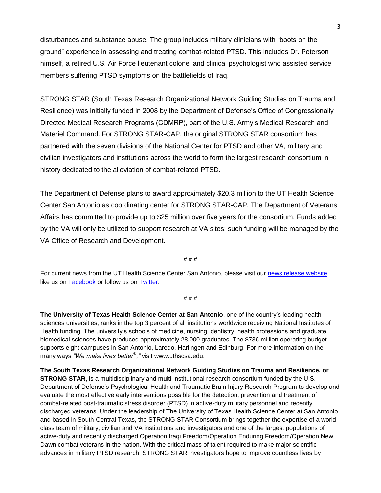disturbances and substance abuse. The group includes military clinicians with "boots on the ground" experience in assessing and treating combat-related PTSD. This includes Dr. Peterson himself, a retired U.S. Air Force lieutenant colonel and clinical psychologist who assisted service members suffering PTSD symptoms on the battlefields of Iraq.

STRONG STAR (South Texas Research Organizational Network Guiding Studies on Trauma and Resilience) was initially funded in 2008 by the Department of Defense's Office of Congressionally Directed Medical Research Programs (CDMRP), part of the U.S. Army's Medical Research and Materiel Command. For STRONG STAR-CAP, the original STRONG STAR consortium has partnered with the seven divisions of the National Center for PTSD and other VA, military and civilian investigators and institutions across the world to form the largest research consortium in history dedicated to the alleviation of combat-related PTSD.

The Department of Defense plans to award approximately \$20.3 million to the UT Health Science Center San Antonio as coordinating center for STRONG STAR-CAP. The Department of Veterans Affairs has committed to provide up to \$25 million over five years for the consortium. Funds added by the VA will only be utilized to support research at VA sites; such funding will be managed by the VA Office of Research and Development.

# # #

For current news from the UT Health Science Center San Antonio, please visit our [news release website,](http://www.uthscsa.edu/hscnews/newsrelease_currentdisplay.asp?date=2013) like us on [Facebook](https://www.facebook.com/UTHealthScienceCenterSA) or follow us on [Twitter.](http://twitter.com/uthscsa)

## # # #

**The University of Texas Health Science Center at San Antonio**, one of the country's leading health sciences universities, ranks in the top 3 percent of all institutions worldwide receiving National Institutes of Health funding. The university's schools of medicine, nursing, dentistry, health professions and graduate biomedical sciences have produced approximately 28,000 graduates. The \$736 million operating budget supports eight campuses in San Antonio, Laredo, Harlingen and Edinburg. For more information on the many ways *"We make lives better® ,"* visit [www.uthscsa.edu.](http://www.uthscsa.edu/)

**The South Texas Research Organizational Network Guiding Studies on Trauma and Resilience, or STRONG STAR,** is a multidisciplinary and multi-institutional research consortium funded by the U.S. Department of Defense's Psychological Health and Traumatic Brain Injury Research Program to develop and evaluate the most effective early interventions possible for the detection, prevention and treatment of combat-related post-traumatic stress disorder (PTSD) in active-duty military personnel and recently discharged veterans. Under the leadership of The University of Texas Health Science Center at San Antonio and based in South-Central Texas, the STRONG STAR Consortium brings together the expertise of a worldclass team of military, civilian and VA institutions and investigators and one of the largest populations of active-duty and recently discharged Operation Iraqi Freedom/Operation Enduring Freedom/Operation New Dawn combat veterans in the nation. With the critical mass of talent required to make major scientific advances in military PTSD research, STRONG STAR investigators hope to improve countless lives by